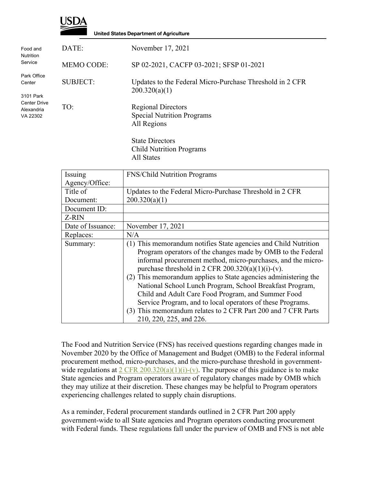

Food and **Nutrition** Service

**Center** 

**United States Department of Agriculture** DATE: November 17, 2021 MEMO CODE: SP 02-2021, CACFP 03-2021; SFSP 01-2021 Park Office SUBJECT: Updates to the Federal Micro-Purchase Threshold in 2 CFR 200.320(a)(1) 3101 Park Center Drive TO: Regional Directors Alexandria Special Nutrition Programs VA 22302All Regions State Directors Child Nutrition Programs

All States

| Issuing           | <b>FNS/Child Nutrition Programs</b>                                                                                                                                                                                                                                                                                                                                                                                                                                                                                                                                                                   |
|-------------------|-------------------------------------------------------------------------------------------------------------------------------------------------------------------------------------------------------------------------------------------------------------------------------------------------------------------------------------------------------------------------------------------------------------------------------------------------------------------------------------------------------------------------------------------------------------------------------------------------------|
| Agency/Office:    |                                                                                                                                                                                                                                                                                                                                                                                                                                                                                                                                                                                                       |
| Title of          | Updates to the Federal Micro-Purchase Threshold in 2 CFR                                                                                                                                                                                                                                                                                                                                                                                                                                                                                                                                              |
| Document:         | 200.320(a)(1)                                                                                                                                                                                                                                                                                                                                                                                                                                                                                                                                                                                         |
| Document ID:      |                                                                                                                                                                                                                                                                                                                                                                                                                                                                                                                                                                                                       |
| Z-RIN             |                                                                                                                                                                                                                                                                                                                                                                                                                                                                                                                                                                                                       |
| Date of Issuance: | November 17, 2021                                                                                                                                                                                                                                                                                                                                                                                                                                                                                                                                                                                     |
| Replaces:         | N/A                                                                                                                                                                                                                                                                                                                                                                                                                                                                                                                                                                                                   |
| Summary:          | (1) This memorandum notifies State agencies and Child Nutrition<br>Program operators of the changes made by OMB to the Federal<br>informal procurement method, micro-purchases, and the micro-<br>purchase threshold in 2 CFR $200.320(a)(1)(i)-(v)$ .<br>(2) This memorandum applies to State agencies administering the<br>National School Lunch Program, School Breakfast Program,<br>Child and Adult Care Food Program, and Summer Food<br>Service Program, and to local operators of these Programs.<br>(3) This memorandum relates to 2 CFR Part 200 and 7 CFR Parts<br>210, 220, 225, and 226. |

The Food and Nutrition Service (FNS) has received questions regarding changes made in November 2020 by the Office of Management and Budget (OMB) to the Federal informal procurement method, micro-purchases, and the micro-purchase threshold in governmentwide regulations at  $2 \text{ CFR } 200.320(a)(1)(i)-(v)$ . The purpose of this guidance is to make State agencies and Program operators aware of regulatory changes made by OMB which they may utilize at their discretion. These changes may be helpful to Program operators experiencing challenges related to supply chain disruptions.

As a reminder, Federal procurement standards outlined in 2 CFR Part 200 apply government-wide to all State agencies and Program operators conducting procurement with Federal funds. These regulations fall under the purview of OMB and FNS is not able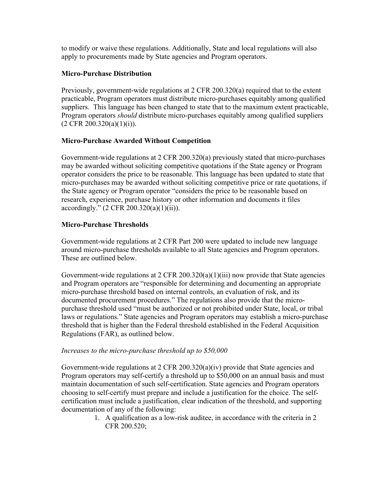to modify or waive these regulations. Additionally, State and local regulations will also apply to procurements made by State agencies and Program operators.

## **Micro-Purchase Distribution**

Previously, government-wide regulations at 2 CFR 200.320(a) required that to the extent practicable, Program operators must distribute micro-purchases equitably among qualified suppliers. This language has been changed to state that to the maximum extent practicable, Program operators *should* distribute micro-purchases equitably among qualified suppliers  $(2 \text{ CFR } 200.320(a)(1)(i)).$ 

## **Micro-Purchase Awarded Without Competition**

Government-wide regulations at 2 CFR 200.320(a) previously stated that micro-purchases may be awarded without soliciting competitive quotations if the State agency or Program operator considers the price to be reasonable. This language has been updated to state that micro-purchases may be awarded without soliciting competitive price or rate quotations, if the State agency or Program operator "considers the price to be reasonable based on research, experience, purchase history or other information and documents it files accordingly." (2 CFR 200.320(a)(1)(ii)).

## **Micro-Purchase Thresholds**

Government-wide regulations at 2 CFR Part 200 were updated to include new language around micro-purchase thresholds available to all State agencies and Program operators. These are outlined below.

Government-wide regulations at  $2 \text{ CFR } 200.320(a)(1)(iii)$  now provide that State agencies and Program operators are "responsible for determining and documenting an appropriate micro-purchase threshold based on internal controls, an evaluation of risk, and its documented procurement procedures." The regulations also provide that the micropurchase threshold used "must be authorized or not prohibited under State, local, or tribal laws or regulations." State agencies and Program operators may establish a micro-purchase threshold that is higher than the Federal threshold established in the Federal Acquisition Regulations (FAR), as outlined below.

## *Increases to the micro-purchase threshold up to \$50,000*

Government-wide regulations at 2 CFR 200.320(a)(iv) provide that State agencies and Program operators may self-certify a threshold up to \$50,000 on an annual basis and must maintain documentation of such self-certification. State agencies and Program operators choosing to self-certify must prepare and include a justification for the choice. The selfcertification must include a justification, clear indication of the threshold, and supporting documentation of any of the following:

1. A qualification as a low-risk auditee, in accordance with the criteria in 2 CFR 200.520;